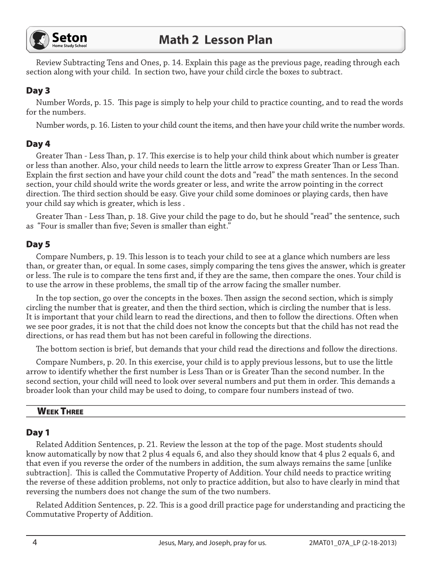

Review Subtracting Tens and Ones, p. 14. Explain this page as the previous page, reading through each section along with your child. In section two, have your child circle the boxes to subtract.

# Day 3

Number Words, p. 15. This page is simply to help your child to practice counting, and to read the words for the numbers.

Number words, p. 16. Listen to your child count the items, and then have your child write the number words.

## Day 4

Greater Than - Less Than, p. 17. This exercise is to help your child think about which number is greater or less than another. Also, your child needs to learn the little arrow to express Greater Than or Less Than. Explain the first section and have your child count the dots and "read" the math sentences. In the second section, your child should write the words greater or less, and write the arrow pointing in the correct direction. The third section should be easy. Give your child some dominoes or playing cards, then have your child say which is greater, which is less.

Greater Than - Less Than, p. 18. Give your child the page to do, but he should "read" the sentence, such as "Four is smaller than five; Seven is smaller than eight."

# Day 5

Compare Numbers, p. 19. This lesson is to teach your child to see at a glance which numbers are less than, or greater than, or equal. In some cases, simply comparing the tens gives the answer, which is greater or less. The rule is to compare the tens first and, if they are the same, then compare the ones. Your child is to use the arrow in these problems, the small tip of the arrow facing the smaller number.

In the top section, go over the concepts in the boxes. Then assign the second section, which is simply circling the number that is greater, and then the third section, which is circling the number that is less. It is important that your child learn to read the directions, and then to follow the directions. Often when we see poor grades, it is not that the child does not know the concepts but that the child has not read the directions, or has read them but has not been careful in following the directions.

The bottom section is brief, but demands that your child read the directions and follow the directions.

Compare Numbers, p. 20. In this exercise, your child is to apply previous lessons, but to use the little arrow to identify whether the first number is Less Than or is Greater Than the second number. In the second section, your child will need to look over several numbers and put them in order. This demands a broader look than your child may be used to doing, to compare four numbers instead of two.

#### **WEEK THREE**

# Day 1

Related Addition Sentences, p. 21. Review the lesson at the top of the page. Most students should know automatically by now that 2 plus 4 equals 6, and also they should know that 4 plus 2 equals 6, and that even if you reverse the order of the numbers in addition, the sum always remains the same [unlike subtraction]. This is called the Commutative Property of Addition. Your child needs to practice writing the reverse of these addition problems, not only to practice addition, but also to have clearly in mind that reversing the numbers does not change the sum of the two numbers.

Related Addition Sentences, p. 22. This is a good drill practice page for understanding and practicing the Commutative Property of Addition.